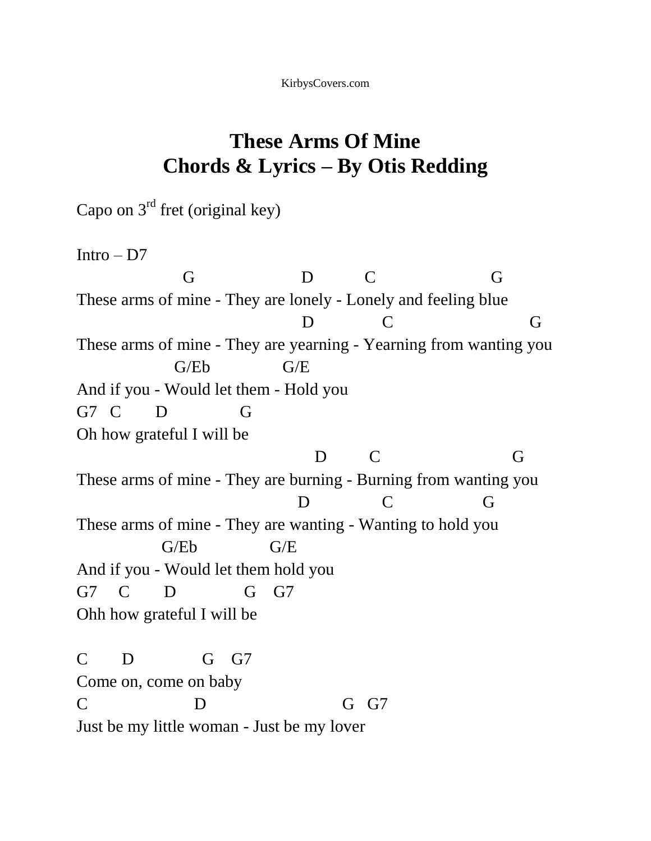## **These Arms Of Mine Chords & Lyrics – By Otis Redding**

Capo on  $3<sup>rd</sup>$  fret (original key)

Intro – D7

 G D C G These arms of mine - They are lonely - Lonely and feeling blue D C G These arms of mine - They are yearning - Yearning from wanting you G/Eb G/E And if you - Would let them - Hold you G7 C D G Oh how grateful I will be D C G These arms of mine - They are burning - Burning from wanting you D C G These arms of mine - They are wanting - Wanting to hold you G/Eb G/E And if you - Would let them hold you G7 C D G G7 Ohh how grateful I will be C D G G7 Come on, come on baby C D G G7 Just be my little woman - Just be my lover